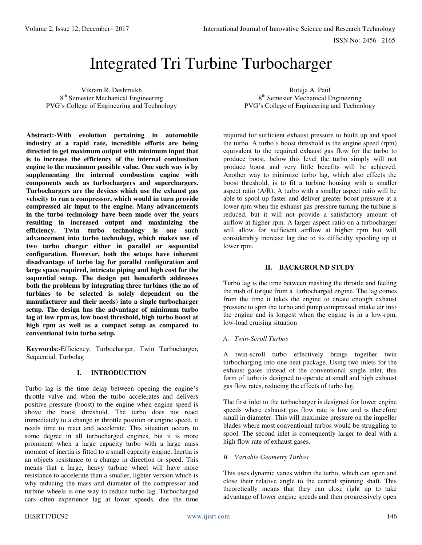# Integrated Tri Turbine Turbocharger

Vikram R. Deshmukh 8<sup>th</sup> Semester Mechanical Engineering PVG's College of Engineering and Technology

**Abstract:-With evolution pertaining in automobile industry at a rapid rate, incredible efforts are being directed to get maximum output with minimum input that is to increase the efficiency of the internal combustion engine to the maximum possible value. One such way is by supplementing the internal combustion engine with components such as turbochargers and superchargers. Turbochargers are the devices which use the exhaust gas velocity to run a compressor, which would in turn provide compressed air input to the engine. Many advancements in the turbo technology have been made over the years resulting in increased output and maximizing the efficiency. Twin turbo technology is one such advancement into turbo technology, which makes use of two turbo charger either in parallel or sequential configuration. However, both the setups have inherent disadvantage of turbo lag for parallel configuration and large space required, intricate piping and high cost for the sequential setup. The design put henceforth addresses both the problems by integrating three turbines (the no of turbines to be selected is solely dependent on the manufacturer and their needs) into a single turbocharger setup. The design has the advantage of minimum turbo lag at low rpm as, low boost threshold, high turbo boost at high rpm as well as a compact setup as compared to conventional twin turbo setup.**

**Keywords:-**Efficiency, Turbocharger, Twin Turbocharger, Sequential, Turbolag

## **I. INTRODUCTION**

Turbo lag is the time delay between opening the engine's throttle valve and when the turbo accelerates and delivers positive pressure (boost) to the engine when engine speed is above the boost threshold. The turbo does not react immediately to a change in throttle position or engine speed, it needs time to react and accelerate. This situation occurs to some degree in all turbocharged engines, but it is more prominent when a large capacity turbo with a large mass moment of inertia is fitted to a small capacity engine. Inertia is an objects resistance to a change in direction or speed. This means that a large, heavy turbine wheel will have more resistance to accelerate than a smaller, lighter version which is why reducing the mass and diameter of the compressor and turbine wheels is one way to reduce turbo lag. Turbocharged cars often experience lag at lower speeds, due the time

Rutuja A. Patil 8<sup>th</sup> Semester Mechanical Engineering PVG's College of Engineering and Technology

required for sufficient exhaust pressure to build up and spool the turbo. A turbo's boost threshold is the engine speed (rpm) equivalent to the required exhaust gas flow for the turbo to produce boost, below this level the turbo simply will not produce boost and very little benefits will be achieved. Another way to minimize turbo lag, which also effects the boost threshold, is to fit a turbine housing with a smaller aspect ratio (A/R). A turbo with a smaller aspect ratio will be able to spool up faster and deliver greater boost pressure at a lower rpm when the exhaust gas pressure turning the turbine is reduced, but it will not provide a satisfactory amount of airflow at higher rpm. A larger aspect ratio on a turbocharger will allow for sufficient airflow at higher rpm but will considerably increase lag due to its difficulty spooling up at lower rpm.

## **II. BACKGROUND STUDY**

Turbo lag is the time between mashing the throttle and feeling the rush of torque from a [turbocharged engine.](http://www.hotrod.com/how-to/engine/ccrp-0907-turbocharged-engine-guide/) The lag comes from the time it takes the engine to create enough exhaust pressure to spin the turbo and pump compressed intake air into the engine and is longest when the engine is in a low-rpm, low-load cruising situation

*A. Twin-Scroll Turbos* 

A twin-scroll turbo effectively brings together twin turbocharging into one neat package. Using two inlets for the exhaust gases instead of the conventional single inlet, this form of turbo is designed to operate at small and high exhaust gas flow rates, reducing the effects of turbo lag.

The first inlet to the turbocharger is designed for lower engine speeds where exhaust gas flow rate is low and is therefore small in diameter. This will maximize pressure on the impeller blades where most conventional turbos would be struggling to spool. The second inlet is consequently larger to deal with a high flow rate of exhaust gases.

## *B. Variable Geometry Turbos*

This uses dynamic vanes within the turbo, which can open and close their relative angle to the central spinning shaft. This theoretically means that they can close right up to take advantage of lower engine speeds and then progressively open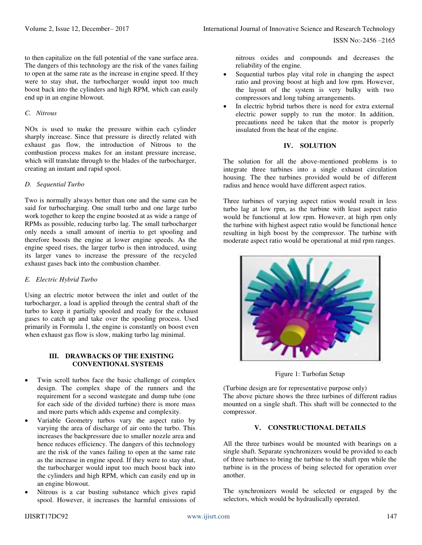to then capitalize on the full potential of the vane surface area. The dangers of this technology are the risk of the vanes failing to open at the same rate as the increase in engine speed. If they were to stay shut, the turbocharger would input too much boost back into the cylinders and high RPM, which can easily end up in an engine blowout.

## *C. Nitrous*

NOx is used to make the pressure within each cylinder sharply increase. Since that pressure is directly related with exhaust gas flow, the introduction of Nitrous to the combustion process makes for an instant pressure increase, which will translate through to the blades of the turbocharger, creating an instant and rapid spool.

#### *D. Sequential Turbo*

Two is normally always better than one and the same can be said for turbocharging. One small turbo and one large turbo work together to keep the engine boosted at as wide a range of RPMs as possible, reducing turbo lag. The small turbocharger only needs a small amount of inertia to get spooling and therefore boosts the engine at lower engine speeds. As the engine speed rises, the larger turbo is then introduced, using its larger vanes to increase the pressure of the recycled exhaust gases back into the combustion chamber.

#### *E. Electric Hybrid Turbo*

Using an electric motor between the inlet and outlet of the turbocharger, a load is applied through the central shaft of the turbo to keep it partially spooled and ready for the exhaust gases to catch up and take over the spooling process. Used primarily in Formula 1, the engine is constantly on boost even when exhaust gas flow is slow, making turbo lag minimal.

#### **III. DRAWBACKS OF THE EXISTING CONVENTIONAL SYSTEMS**

- Twin scroll turbos face the basic challenge of complex design. The complex shape of the runners and the requirement for a second wastegate and dump tube (one for each side of the divided turbine) there is more mass and more parts which adds expense and complexity.
- Variable Geometry turbos vary the aspect ratio by varying the area of discharge of air onto the turbo. This increases the backpressure due to smaller nozzle area and hence reduces efficiency. The dangers of this technology are the risk of the vanes failing to open at the same rate as the increase in engine speed. If they were to stay shut, the turbocharger would input too much boost back into the cylinders and high RPM, which can easily end up in an engine blowout.
- Nitrous is a car busting substance which gives rapid spool. However, it increases the harmful emissions of

nitrous oxides and compounds and decreases the reliability of the engine.

- Sequential turbos play vital role in changing the aspect ratio and proving boost at high and low rpm. However, the layout of the system is very bulky with two compressors and long tubing arrangements.
- In electric hybrid turbos there is need for extra external electric power supply to run the motor. In addition, precautions need be taken that the motor is properly insulated from the heat of the engine.

## **IV. SOLUTION**

The solution for all the above-mentioned problems is to integrate three turbines into a single exhaust circulation housing. The thee turbines provided would be of different radius and hence would have different aspect ratios.

Three turbines of varying aspect ratios would result in less turbo lag at low rpm, as the turbine with least aspect ratio would be functional at low rpm. However, at high rpm only the turbine with highest aspect ratio would be functional hence resulting in high boost by the compressor. The turbine with moderate aspect ratio would be operational at mid rpm ranges.



Figure 1: Turbofan Setup

(Turbine design are for representative purpose only) The above picture shows the three turbines of different radius mounted on a single shaft. This shaft will be connected to the compressor.

## **V. CONSTRUCTIONAL DETAILS**

All the three turbines would be mounted with bearings on a single shaft. Separate synchronizers would be provided to each of three turbines to bring the turbine to the shaft rpm while the turbine is in the process of being selected for operation over another.

The synchronizers would be selected or engaged by the selectors, which would be hydraulically operated.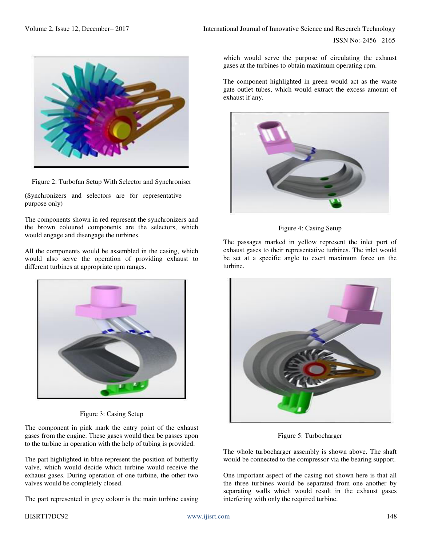ISSN No:-2456 –2165



Figure 2: Turbofan Setup With Selector and Synchroniser

(Synchronizers and selectors are for representative purpose only)

The components shown in red represent the synchronizers and the brown coloured components are the selectors, which would engage and disengage the turbines.

All the components would be assembled in the casing, which would also serve the operation of providing exhaust to different turbines at appropriate rpm ranges.



Figure 3: Casing Setup

The component in pink mark the entry point of the exhaust gases from the engine. These gases would then be passes upon to the turbine in operation with the help of tubing is provided.

The part highlighted in blue represent the position of butterfly valve, which would decide which turbine would receive the exhaust gases. During operation of one turbine, the other two valves would be completely closed.

The part represented in grey colour is the main turbine casing

which would serve the purpose of circulating the exhaust gases at the turbines to obtain maximum operating rpm.

The component highlighted in green would act as the waste gate outlet tubes, which would extract the excess amount of exhaust if any.



Figure 4: Casing Setup

The passages marked in yellow represent the inlet port of exhaust gases to their representative turbines. The inlet would be set at a specific angle to exert maximum force on the turbine.



Figure 5: Turbocharger

The whole turbocharger assembly is shown above. The shaft would be connected to the compressor via the bearing support.

One important aspect of the casing not shown here is that all the three turbines would be separated from one another by separating walls which would result in the exhaust gases interfering with only the required turbine.